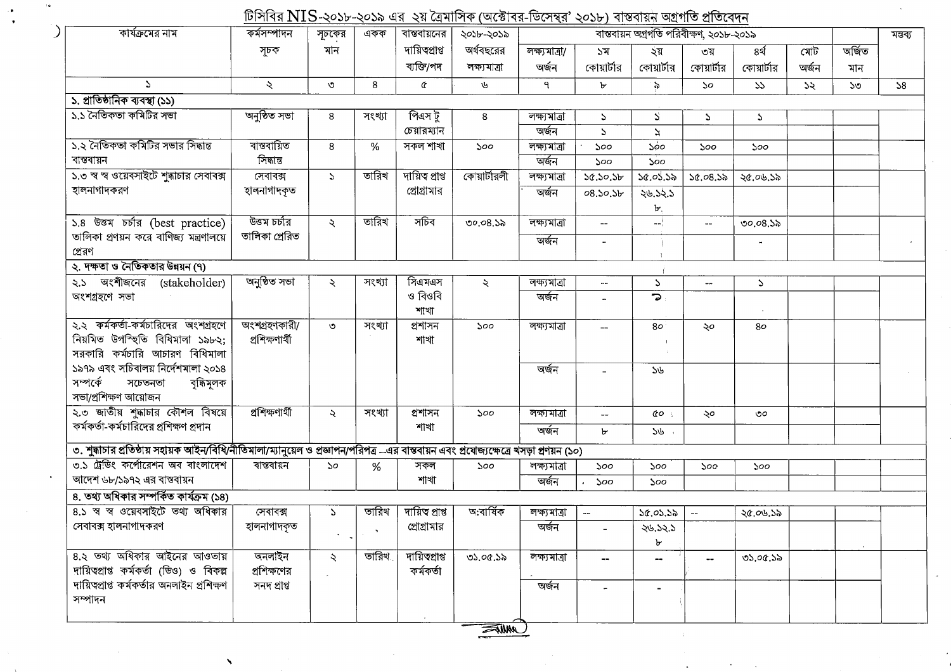টিসিবির NIS-২০১৮-২০১৯ এর ২য় ত্রৈমাসিক (অক্টোবর-ডিসেম্বর' ২০১৮) বাস্তবায়ন অগ্রগতি প্রতিবেদন

 $\epsilon$  is

 $\mathcal{L}$ 

 $\sim$   $\bullet$ 

 $\mathcal{A}$ 

| কার্যক্রমের নাম                                                                                                                         | $\mathbf{r}$<br>কৰ্মসম্পাদন | সূচকের               | একক                            | বান্তবায়নের    | $\frac{1}{2}$ and $\frac{1}{2}$ and $\frac{1}{2}$ if $\frac{1}{2}$ if $\frac{1}{2}$ if $\frac{1}{2}$ and $\frac{1}{2}$ if $\frac{1}{2}$ if $\frac{1}{2}$ if $\frac{1}{2}$ if $\frac{1}{2}$ if $\frac{1}{2}$ if $\frac{1}{2}$ if $\frac{1}{2}$ if $\frac{1}{2}$ if $\frac{1}{2}$ if $\frac{1}{2}$<br>২০১৮-২০১৯ |               |               | মন্তব্য                                 |                             |            |       |              |    |
|-----------------------------------------------------------------------------------------------------------------------------------------|-----------------------------|----------------------|--------------------------------|-----------------|---------------------------------------------------------------------------------------------------------------------------------------------------------------------------------------------------------------------------------------------------------------------------------------------------------------|---------------|---------------|-----------------------------------------|-----------------------------|------------|-------|--------------|----|
|                                                                                                                                         |                             |                      |                                | দায়িত্বপ্ৰাপ্ত |                                                                                                                                                                                                                                                                                                               |               |               | বাস্তবায়ন অগ্রগতি পরিবীক্ষণ, ২০১৮-২০১৯ |                             |            |       |              |    |
|                                                                                                                                         | সূচক                        | মান                  |                                |                 | অর্থবছরের                                                                                                                                                                                                                                                                                                     | লক্ষ্যমাত্ৰা/ | ১ম            | ২য়                                     | ৩য়                         | ৪র্থ       | মোট   | অৰ্জিত       |    |
|                                                                                                                                         |                             |                      |                                | ব্যক্তি/পদ      | লক্ষ্যমাত্ৰা                                                                                                                                                                                                                                                                                                  | অৰ্জন         | কোয়ার্টার    | কোয়ার্টার                              | কোয়ার্টার                  | কোয়ার্টার | অৰ্জন | মান          |    |
| $\Delta$                                                                                                                                | $\lambda$                   | ত                    | 8                              | ¢               | 山                                                                                                                                                                                                                                                                                                             | ٩             | Ъ             | $\epsilon$                              | $\mathcal{S}^{\mathcal{O}}$ | 55         | 55    | $50^{\circ}$ | 58 |
| ১. প্রাতিষ্ঠানিক ব্যবস্থা (১১)                                                                                                          |                             |                      |                                |                 |                                                                                                                                                                                                                                                                                                               |               |               |                                         |                             |            |       |              |    |
| ১.১ নৈতিকতা কমিটির সভা                                                                                                                  | অনুষ্ঠিত সভা                | 8                    | সংখ্যা                         | পিএস টু         | 8                                                                                                                                                                                                                                                                                                             | লক্ষ্যমাত্ৰা  | $\Delta$      | S.                                      | $\mathcal{L}$               | $\Delta$   |       |              |    |
|                                                                                                                                         |                             |                      |                                | চেয়ারম্যান     |                                                                                                                                                                                                                                                                                                               | অৰ্জন         | $\Delta$      | Z                                       |                             |            |       |              |    |
| ১.২ নৈতিকতা কমিটির সভার সিদ্ধান্ত                                                                                                       | ৰান্তবায়িত                 | 8                    | $\%$                           | সকল শাখা        | 500                                                                                                                                                                                                                                                                                                           | লক্ষ্যমাত্ৰা  | ১০০           | 500                                     | ১০০                         | 500        |       |              |    |
| বান্তবায়ন                                                                                                                              | সিদ্ধান্ত                   |                      |                                |                 |                                                                                                                                                                                                                                                                                                               | অৰ্জন         | ১০০           | 500                                     |                             |            |       |              |    |
| ১.৩ স্ব স্ব ওয়েবসাইটে শুদ্ধাচার সেবাবক্স                                                                                               | সেবাবক্স                    | $\Delta$             | তারিখ                          | দায়িত প্ৰাপ্ত  | কোয়ার্টারলী                                                                                                                                                                                                                                                                                                  | লক্ষ্যমাত্ৰা  | 50.50.5b      | 50.05.55                                | 50.08.55                    | ২৫.০৬.১৯   |       |              |    |
| হালনাগাদকরণ                                                                                                                             | হালনাগাদকৃত                 |                      |                                | প্রোগ্রামার     |                                                                                                                                                                                                                                                                                                               | অৰ্জন         | 08.50.56      | ২৬.১২.১                                 |                             |            |       |              |    |
|                                                                                                                                         |                             |                      |                                |                 |                                                                                                                                                                                                                                                                                                               |               |               | Ъ.                                      |                             |            |       |              |    |
| ১.৪ উত্তম চৰ্চার (best practice)                                                                                                        | উত্তম চৰ্চার                | $\ddot{\mathbf{z}}$  | তারিখ                          | সচিব            | 00.08.55                                                                                                                                                                                                                                                                                                      | লক্ষ্যমাত্ৰা  |               | $-$                                     |                             | 00.08.5    |       |              |    |
| তালিকা প্রণয়ন করে বাণিজ্য মন্ত্রণালয়ে                                                                                                 | তালিকা প্ৰেরিত              |                      |                                |                 |                                                                                                                                                                                                                                                                                                               | অৰ্জন         |               |                                         |                             |            |       |              |    |
| প্ৰেরণ                                                                                                                                  |                             |                      |                                |                 |                                                                                                                                                                                                                                                                                                               |               |               |                                         |                             |            |       |              |    |
| ২. দক্ষতা ও নৈতিকতার উন্নয়ন (৭)                                                                                                        |                             |                      |                                |                 |                                                                                                                                                                                                                                                                                                               |               |               |                                         |                             |            |       |              |    |
| ২.১ অংশীজনের (stakeholder)                                                                                                              | অনুষ্ঠিত সভা                | $\ddot{\mathbf{z}}$  | সংখ্যা                         | সিএমএস          | $\mathcal{L}$                                                                                                                                                                                                                                                                                                 | লক্ষ্যমাত্ৰা  | $\sim$ $\sim$ | $\mathcal{L}$                           | --                          | Z.         |       |              |    |
| অংশগ্ৰহণে সভা                                                                                                                           |                             |                      |                                | ও বিওবি         |                                                                                                                                                                                                                                                                                                               | অৰ্জন         |               | $\tilde{\mathbf{c}}$                    |                             |            |       |              |    |
|                                                                                                                                         |                             |                      |                                | শাখা            |                                                                                                                                                                                                                                                                                                               |               |               |                                         |                             |            |       |              |    |
| ২.২ কর্মকর্তা-কর্মচারিদের অংশগ্রহণে                                                                                                     | অংশগ্ৰহণকারী/               | $\circ$              | সংখ্যা                         | প্ৰশাসন         | 500                                                                                                                                                                                                                                                                                                           | লক্ষ্যমাত্ৰা  |               | 80                                      | ২০                          | 80         |       |              |    |
| নিয়মিত উপস্থিতি বিধিমালা ১৯৮২;                                                                                                         | প্ৰশিক্ষণাৰ্থী              |                      |                                | শাখা            |                                                                                                                                                                                                                                                                                                               |               |               |                                         |                             |            |       |              |    |
| সরকারি কর্মচারি আচারণ বিধিমালা                                                                                                          |                             |                      |                                |                 |                                                                                                                                                                                                                                                                                                               |               |               |                                         |                             |            |       |              |    |
| ১৯৭৯ এবং সচিবালয় নির্দেশমালা ২০১৪                                                                                                      |                             |                      |                                |                 |                                                                                                                                                                                                                                                                                                               | অৰ্জন         |               | 56                                      |                             |            |       |              |    |
| সম্পৰ্কে<br>সচেতনতা<br>বৃদ্ধিমূলক                                                                                                       |                             |                      |                                |                 |                                                                                                                                                                                                                                                                                                               |               |               |                                         |                             |            |       |              |    |
| সভা/প্ৰশিক্ষণ আয়োজন                                                                                                                    |                             |                      |                                |                 |                                                                                                                                                                                                                                                                                                               |               |               |                                         |                             |            |       |              |    |
| ২.৩ জাতীয় শুদ্ধাচার কৌশল বিষয়ে                                                                                                        | প্ৰশিক্ষণাৰ্থী              | $\ddot{\mathcal{L}}$ | সংখ্যা                         | প্রশাসন         | ১০০                                                                                                                                                                                                                                                                                                           | লক্ষ্যমাত্ৰা  |               | $\alpha$                                | ২০                          | ৩০         |       |              |    |
| কর্মকর্তা-কর্মচারিদের প্রশিক্ষণ প্রদান                                                                                                  |                             |                      |                                | শাখা            |                                                                                                                                                                                                                                                                                                               | অৰ্জন         | $\mathbf{b}$  | 56                                      |                             |            |       |              |    |
|                                                                                                                                         |                             |                      |                                |                 |                                                                                                                                                                                                                                                                                                               |               |               |                                         |                             |            |       |              |    |
| ৩. শুদ্ধাচার প্রতিষ্ঠায় সহায়ক আইন/বিধি/নীতিমালা/ম্যানুয়েল ও প্রজ্ঞাপন/পরিপত্র –এর বান্তবায়ন এবং প্রযোজ্যক্ষেত্রে খসড়া প্রণয়ন (১০) |                             |                      |                                |                 |                                                                                                                                                                                                                                                                                                               |               |               |                                         |                             |            |       |              |    |
| ৩.১ ট্রেডিং কর্পোরেশন অব বাংলাদেশ                                                                                                       | বাস্তবায়ন                  | 50                   | %                              | সকল             | ১০০                                                                                                                                                                                                                                                                                                           | লক্ষ্যমাত্ৰা  | ১০০           | 500                                     | 500                         | ১০০        |       |              |    |
| আদেশ ৬৮/১৯৭২ এর বাস্তবায়ন                                                                                                              |                             |                      |                                | শাখা            |                                                                                                                                                                                                                                                                                                               | অৰ্জন         | 500           | 500                                     |                             |            |       |              |    |
| 8. তথ্য অধিকার সম্পর্কিত কার্যক্রম (১৪)                                                                                                 |                             |                      |                                |                 |                                                                                                                                                                                                                                                                                                               |               |               |                                         |                             |            |       |              |    |
| ৪.১ স্ব স্ব ওয়েবসাইটে তথ্য অধিকার                                                                                                      | সেবাবক্স                    | S                    | তারিখ                          | দায়িত প্ৰাপ্ত  | অ:বাৰ্ষিক                                                                                                                                                                                                                                                                                                     | লক্ষ্যমাত্ৰা  | $\sim$ $\sim$ | 50.05.55                                | $\rightarrow$ $\rightarrow$ | ২৫.০৬.১৯   |       |              |    |
| সেবাবক্স হালনাগাদকরণ                                                                                                                    | হালনাগাদকৃত                 |                      |                                | প্রোগ্রামার     |                                                                                                                                                                                                                                                                                                               | অৰ্জন         |               | 20.52.5                                 |                             |            |       |              |    |
|                                                                                                                                         |                             |                      |                                |                 |                                                                                                                                                                                                                                                                                                               |               |               | ৮                                       |                             |            |       |              |    |
| 8.২ তথ্য অধিকার আইনের আওতায়                                                                                                            | অনলাইন                      | ₹                    | তারিখ $\overline{\phantom{a}}$ | দায়িত্বপ্ৰাপ্ত | 05.00.55                                                                                                                                                                                                                                                                                                      | লক্ষ্যমাত্ৰা  |               | $-\!$                                   | <b></b>                     | ৩১.০৫.১৯   |       |              |    |
| দায়িত্বপ্রাপ্ত কর্মকর্তা (ডিও) ও বিকল্প                                                                                                | প্রশিক্ষণের                 |                      |                                | কৰ্মকৰ্তা       |                                                                                                                                                                                                                                                                                                               |               |               |                                         |                             |            |       |              |    |
| দায়িত্বপ্রাপ্ত কর্মকর্তার অনলাইন প্রশিক্ষণ                                                                                             | সনদ প্ৰাপ্ত                 |                      |                                |                 |                                                                                                                                                                                                                                                                                                               | অৰ্জন         |               |                                         |                             |            |       |              |    |
| সম্পাদন                                                                                                                                 |                             |                      |                                |                 |                                                                                                                                                                                                                                                                                                               |               |               |                                         |                             |            |       |              |    |
|                                                                                                                                         |                             |                      |                                |                 |                                                                                                                                                                                                                                                                                                               |               |               |                                         |                             |            |       |              |    |

SAMINE

 $\sim$ 

 $\mathbf{N}$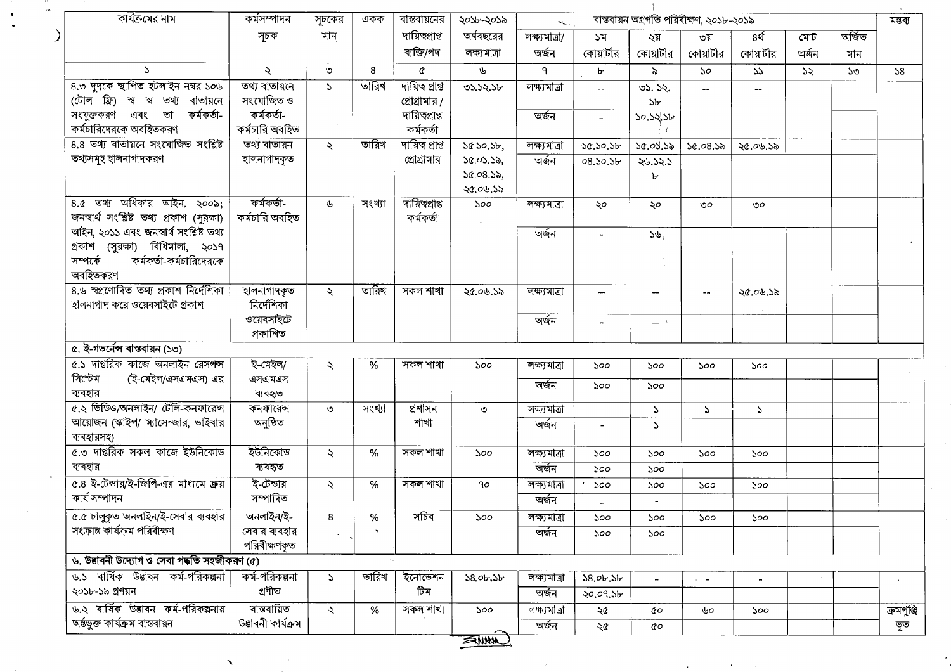| কার্যক্রমের নাম                                                        | কৰ্মসম্পাদন        | সূচকের                | একক                         | বান্তবায়নের   | ২০১৮-২০১৯       | $\mathcal{L}_{\text{max}}$ |                          | মন্তব্য                                                                                                                                                                                                                                                                                                                                                                                      |              |                                       |       |              |            |
|------------------------------------------------------------------------|--------------------|-----------------------|-----------------------------|----------------|-----------------|----------------------------|--------------------------|----------------------------------------------------------------------------------------------------------------------------------------------------------------------------------------------------------------------------------------------------------------------------------------------------------------------------------------------------------------------------------------------|--------------|---------------------------------------|-------|--------------|------------|
|                                                                        | সূচক               | মান                   |                             | দায়িত্ব্রাপ্ত | অর্থবছরের       | লক্ষ্যমাত্রা/              | ১ম                       | ২য়                                                                                                                                                                                                                                                                                                                                                                                          | ৩য়          | ৪র্থ                                  | মোট   | অৰ্জিত       |            |
|                                                                        |                    |                       |                             | ব্যক্তি/পদ     | লক্ষ্যমাত্ৰা    | অৰ্জন                      | কোয়ার্টার               | কোয়ার্টার                                                                                                                                                                                                                                                                                                                                                                                   | কোয়ার্টার   | কোয়ার্টার                            | অৰ্জন | মান          |            |
| $\mathcal{L}$                                                          | $\mathcal{L}$      | ৩                     | 8                           | ¢              | ىل              | ٩                          | Ъ                        | $\lambda$                                                                                                                                                                                                                                                                                                                                                                                    | $50^{\circ}$ | $55 -$                                | ১২    | $50^{\circ}$ | 58         |
| ৪.৩ দুদকে স্থাপিত হটলাইন নম্বর ১০৬                                     | তথ্য বাতায়নে      | $\Delta$              | তারিখ                       | দায়িত প্ৰাপ্ত | ৩১.১২.১৮        | লক্ষ্যমাত্ৰা               |                          | 05.52.                                                                                                                                                                                                                                                                                                                                                                                       |              | $\hspace{0.05cm}$ – $\hspace{0.05cm}$ |       |              |            |
| (টোল ফ্রি) স্ব স্ব তথ্য বাতায়নে                                       | সংযোজিত ও          |                       |                             | প্রোগ্রামার /  |                 |                            |                          | 5 <sub>b</sub>                                                                                                                                                                                                                                                                                                                                                                               |              |                                       |       |              |            |
| সংযুক্তকরণ এবং তা<br>কৰ্মকৰ্তা-                                        | কৰ্মকৰ্তা-         |                       |                             | দায়িত্থাপ্ত   |                 | অৰ্জন                      |                          | 30.52.5                                                                                                                                                                                                                                                                                                                                                                                      |              |                                       |       |              |            |
| কর্মচারিদেরকে অবহিতকরণ                                                 | কর্মচারি অবহিত     |                       |                             | কৰ্মকৰ্তা      |                 |                            |                          |                                                                                                                                                                                                                                                                                                                                                                                              |              |                                       |       |              |            |
| 8.8 তথ্য বাতায়নে সংযোজিত সংশ্লিষ্ট                                    | তথ্য বাতায়ন       | $\lambda$             | তারিখ                       | দায়িত প্ৰাপ্ত | 50.50.55        | লক্ষ্যমাত্ৰা               | 30.50.56                 | 50.05.55                                                                                                                                                                                                                                                                                                                                                                                     | 20.08.38     | ২৫.০৬.১৯                              |       |              |            |
| তথ্যসমূহ হালনাগাদকরণ                                                   | হালনাগাদকৃত        |                       |                             | প্রোগ্রামার    | 50.05.55,       | অৰ্জন                      | 08.50.56                 | 24.52.5                                                                                                                                                                                                                                                                                                                                                                                      |              |                                       |       |              |            |
|                                                                        |                    |                       |                             |                | 50.08.55,       |                            |                          | ৮                                                                                                                                                                                                                                                                                                                                                                                            |              |                                       |       |              |            |
|                                                                        |                    |                       |                             |                | ২৫.০৬.১৯        |                            |                          |                                                                                                                                                                                                                                                                                                                                                                                              |              |                                       |       |              |            |
| $8.6$ তথ্য অধিকার আইন. ২০০৯;                                           | কৰ্মকৰ্তা-         | 山                     | সংখ্যা                      | দায়িত্বাপ্ত   | 500             | লক্ষ্যমাত্ৰা               | ২০                       | ২০                                                                                                                                                                                                                                                                                                                                                                                           | ৩০           | ৩০                                    |       |              |            |
| জনস্বার্থ সংশ্লিষ্ট তথ্য প্রকাশ (সুরক্ষা)                              | কৰ্মচারি অবহিত     |                       |                             | কৰ্মকৰ্তা      |                 |                            |                          |                                                                                                                                                                                                                                                                                                                                                                                              |              |                                       |       |              |            |
| আইন, ২০১১ এবং জনস্বাৰ্থ সংশ্লিষ্ট তথ্য                                 |                    |                       |                             |                |                 | অৰ্জন                      | $\tilde{\phantom{a}}$    | 56                                                                                                                                                                                                                                                                                                                                                                                           |              |                                       |       |              |            |
| প্রকাশ (সুরক্ষা) বিধিমালা, ২০১৭<br>কর্মকর্তা-কর্মচারিদেরকে<br>সম্পৰ্কে |                    |                       |                             |                |                 |                            |                          |                                                                                                                                                                                                                                                                                                                                                                                              |              |                                       |       |              |            |
| অবহিতকরণ                                                               |                    |                       |                             |                |                 |                            |                          |                                                                                                                                                                                                                                                                                                                                                                                              |              |                                       |       |              |            |
| ৪.৬ স্বপ্রণোদিত তথ্য প্রকাশ নির্দেশিকা                                 | হালনাগাদকৃত        | $\ddot{\mathbf{z}}$   | তারিখ                       | সকল শাখা       |                 |                            |                          |                                                                                                                                                                                                                                                                                                                                                                                              |              |                                       |       |              |            |
| হালনাগাদ করে ওয়েবসাইটে প্রকাশ                                         | নিৰ্দেশিকা         |                       |                             |                | ২৫.০৬.১৯        | লক্ষ্যমাত্ৰা               |                          | --                                                                                                                                                                                                                                                                                                                                                                                           |              | ২৫.০৬.১৯                              |       |              |            |
|                                                                        | ওয়েবসাইটে         |                       |                             |                |                 | অৰ্জন                      |                          |                                                                                                                                                                                                                                                                                                                                                                                              |              |                                       |       |              |            |
|                                                                        | প্ৰকাশিত           |                       |                             |                |                 |                            | $\overline{\phantom{a}}$ | $\frac{1}{2} \frac{1}{2} \frac{1}{2} \frac{1}{2} \frac{1}{2} \frac{1}{2} \frac{1}{2} \frac{1}{2} \frac{1}{2} \frac{1}{2} \frac{1}{2} \frac{1}{2} \frac{1}{2} \frac{1}{2} \frac{1}{2} \frac{1}{2} \frac{1}{2} \frac{1}{2} \frac{1}{2} \frac{1}{2} \frac{1}{2} \frac{1}{2} \frac{1}{2} \frac{1}{2} \frac{1}{2} \frac{1}{2} \frac{1}{2} \frac{1}{2} \frac{1}{2} \frac{1}{2} \frac{1}{2} \frac{$ |              |                                       |       |              |            |
| ৫. ই-গভর্নেন্স বাস্তবায়ন (১৩)                                         |                    |                       |                             |                |                 |                            |                          |                                                                                                                                                                                                                                                                                                                                                                                              |              |                                       |       |              |            |
| ৫.১ দাপ্তরিক কাজে অনলাইন রেসপন্স                                       | ই-মেইল/            | ₹.                    | %                           | সকল শাখা       | ১০০             | লক্ষ্যমাত্ৰা               | 500                      | 500                                                                                                                                                                                                                                                                                                                                                                                          | ১০০          | ১০০                                   |       |              |            |
| সিস্টেম<br>(ই-মেইল/এসএমএস)-এর                                          | এসএমএস             |                       |                             |                |                 |                            |                          |                                                                                                                                                                                                                                                                                                                                                                                              |              |                                       |       |              |            |
| ব্যবহার                                                                | ব্যবহৃত            |                       |                             |                |                 | অৰ্জন                      | 500                      | 500 <sub>o</sub>                                                                                                                                                                                                                                                                                                                                                                             |              |                                       |       |              |            |
| ৫.২ ভিডিও,অনলাইন/ টেলি-কনফারেন্স                                       | কনফারেন্স          | ত                     | সংখ্যা                      | প্ৰশাসন        | $\circ$         | লক্ষ্যমাত্ৰা               | $\blacksquare$           | S.                                                                                                                                                                                                                                                                                                                                                                                           | $\Delta$     | Z.                                    |       |              |            |
| আয়োজন (স্কাইপ/ ম্যাসেন্জার, ভাইবার                                    | অনুষ্ঠিত           |                       |                             | শাখা           |                 | অৰ্জন                      |                          | $\mathcal{L}$                                                                                                                                                                                                                                                                                                                                                                                |              |                                       |       |              |            |
| ব্যবহারসহ)                                                             |                    |                       |                             |                |                 |                            |                          |                                                                                                                                                                                                                                                                                                                                                                                              |              |                                       |       |              |            |
| ৫.৩ দাপ্তরিক সকল কাজে ইউনিকোড                                          | ইউনিকোড            | $\lambda$             | ℅                           | সকল শাখা       | ১০০             | লক্ষ্যমাত্ৰা               | ১০০                      | 500                                                                                                                                                                                                                                                                                                                                                                                          | 500          | 500                                   |       |              |            |
| ব্যবহার                                                                | ব্যবহৃত            |                       |                             |                |                 | অৰ্জন                      | ১০০                      | 500                                                                                                                                                                                                                                                                                                                                                                                          |              |                                       |       |              |            |
| ৫.৪ ই-টেন্ডার/ই-জিপি-এর মাধ্যমে ক্রয়                                  | ই-টেন্ডার          | $\tilde{\mathcal{L}}$ | ℅                           | সকল শাখা       | $90^{\circ}$    | লক্ষ্যমাত্ৰা               | 500                      | 500                                                                                                                                                                                                                                                                                                                                                                                          | 500          | 500                                   |       |              |            |
| কাৰ্য সম্পাদন                                                          | সম্পাদিত           |                       |                             |                |                 | অৰ্জন                      |                          |                                                                                                                                                                                                                                                                                                                                                                                              |              |                                       |       |              |            |
| ৫.৫ চালুকৃত অনলাইন/ই-সেবার ব্যবহার                                     | অনলাইন/ই-          | 8                     | %                           | সচিব           | 500             | লক্ষ্যমাত্ৰা               | ১০০                      | ১০০                                                                                                                                                                                                                                                                                                                                                                                          | ১০০          | 500                                   |       |              |            |
| সংক্ৰান্ত কাৰ্যক্ৰম পরিবীক্ষণ                                          | সেবার ব্যবহার      |                       | $\mathcal{R}_{\mathcal{A}}$ |                |                 | অৰ্জন                      | 500                      | ১০০                                                                                                                                                                                                                                                                                                                                                                                          |              |                                       |       |              |            |
|                                                                        | পরিবীক্ষণকৃত       |                       |                             |                |                 |                            |                          |                                                                                                                                                                                                                                                                                                                                                                                              |              |                                       |       |              |            |
| ৬. উদ্ভাবনী উদ্যোগ ও সেবা পদ্ধতি সহজীকরণ (৫)                           |                    |                       |                             |                |                 |                            |                          |                                                                                                                                                                                                                                                                                                                                                                                              |              |                                       |       |              |            |
| ৬.১ বাৰ্ষিক উত্তাবন কৰ্ম-পরিকল্পনা                                     | কৰ্ম-পরিকল্পনা     | $\Delta$              | তারিখ                       | ইনোভেশন        | $58.0$ b. $3$ b | লক্ষ্যমাত্ৰা               | $58.0$ b. $3$ b          | $\overline{\phantom{a}}$                                                                                                                                                                                                                                                                                                                                                                     | $\sim$ $ -$  | $\blacksquare$                        |       |              |            |
| ২০১৮-১৯ প্ৰণয়ন                                                        | প্ৰণীত             |                       |                             | টিম            |                 | অৰ্জন                      | ২০.০৭.১৮                 |                                                                                                                                                                                                                                                                                                                                                                                              |              |                                       |       |              |            |
| ৬.২ বাৰ্ষিক উদ্ভাবন কৰ্ম-পরিকল্পনায়                                   | ৰান্তৰায়িত        | $\tilde{\mathcal{L}}$ | %                           | সকল শাখা       | 500             | লক্ষ্যমাত্ৰা               | ২৫                       | ¢о                                                                                                                                                                                                                                                                                                                                                                                           | ৬০           | 500                                   |       |              | ক্ৰমপুঞ্জি |
| অৰ্ন্তভুক্ত কাৰ্যক্ৰম বাস্তবায়ন                                       | উত্তাবনী কাৰ্যক্ৰম |                       |                             |                |                 | অৰ্জন                      | ২৫                       | QΟ                                                                                                                                                                                                                                                                                                                                                                                           |              |                                       |       |              | ভূত        |
|                                                                        |                    |                       |                             |                | $\sum_{\mu}$    |                            |                          |                                                                                                                                                                                                                                                                                                                                                                                              |              |                                       |       |              |            |

 $\mathbf{a}$ 

 $\bullet$  $\ddot{\phantom{1}}$ 

SUMM

 $\checkmark$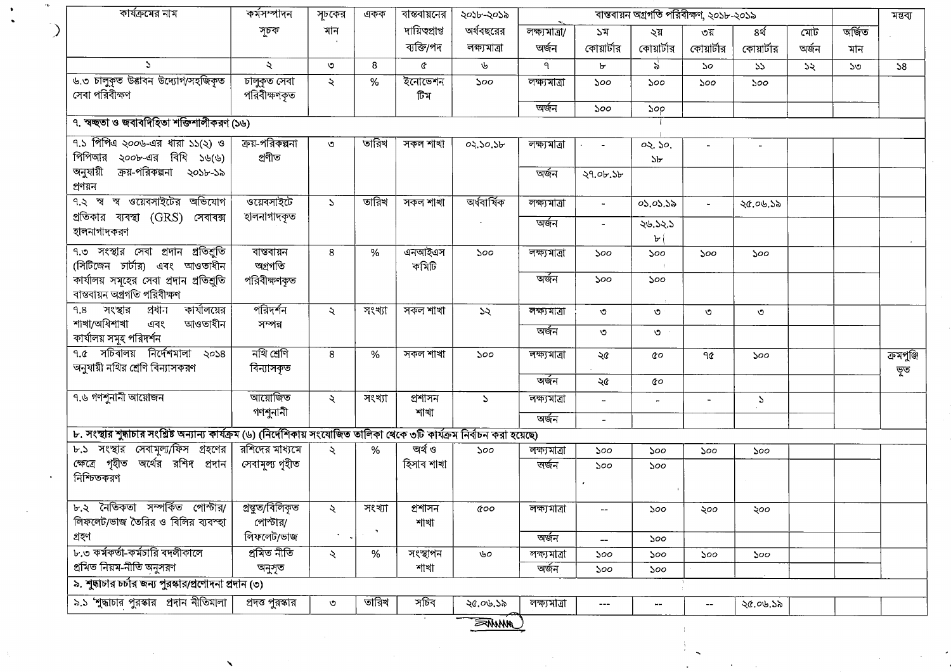| কার্যক্রমের নাম                                                                                                            | কর্মসম্পাদন            | সূচকের        | একক                         | বাস্তবায়নের    | ২০১৮-২০১৯      | বাস্তবায়ন অগ্রগতি পরিবীক্ষণ, ২০১৮-২০১৯ |                             |                       |                       |               |       |        |            |  |
|----------------------------------------------------------------------------------------------------------------------------|------------------------|---------------|-----------------------------|-----------------|----------------|-----------------------------------------|-----------------------------|-----------------------|-----------------------|---------------|-------|--------|------------|--|
|                                                                                                                            | সূচক                   | মান           |                             | দায়িত্বপ্ৰাপ্ত | অর্থবছরের      | লক্ষ্যমাত্ৰা/                           | 57                          | ২য়                   | ৩য়                   | ৪র্থ          | মোট   | অৰ্জিত |            |  |
|                                                                                                                            |                        |               |                             | ব্যক্তি/পদ      | লক্ষ্যমাত্ৰা   | অৰ্জন                                   | কোয়ার্টার                  | কোয়ার্টার            | কোয়ার্টার            | কোয়ার্টার    | অৰ্জন | মান    |            |  |
| S.                                                                                                                         | $\ddot{\mathcal{L}}$   | $\circ$       | 8                           | ¢               | 山              | ٩                                       | ৮                           | $\mathbf{s}^{\prime}$ | $\mathcal{S}^{\circ}$ | 55            | 55    | ১৩     | 58         |  |
| ৬.৩ চালুকৃত উত্তাবন উদ্যোগ/সহজিকৃত                                                                                         | চালুকৃত সেবা           | $\lambda$     | $\%$                        | ইনোভেশন         | 500            | লক্ষ্যমাত্ৰা                            | 500                         | 500                   | 500                   | 500           |       |        |            |  |
| সেবা পরিবীক্ষণ                                                                                                             | পরিবীক্ষণকৃত           |               |                             | টিম             |                |                                         |                             |                       |                       |               |       |        |            |  |
|                                                                                                                            |                        |               |                             |                 |                | অৰ্জন                                   | 500                         | 500                   |                       |               |       |        |            |  |
| ৭. স্বচ্ছতা ও জবাবদিহিতা শক্তিশালীকরণ (১৬)                                                                                 |                        |               |                             |                 |                |                                         |                             |                       |                       |               |       |        |            |  |
| ৭.১ পিপিএ ২০০৬-এর ধারা ১১(২) ও                                                                                             | ক্রয়-পরিকল্পনা        | ৩             | তারিখ                       | সকল শাখা        | 02.50.56       | লক্ষ্যমাত্ৰা                            | $\epsilon$ , and $\epsilon$ | 02.50.                |                       |               |       |        |            |  |
| পিপিআর ২০০৮-এর বিধি ১৬(৬)                                                                                                  | প্ৰণীত                 |               |                             |                 |                |                                         |                             | 5 <sub>b</sub>        |                       |               |       |        |            |  |
| অনুযায়ী<br>ক্রয়-পরিকল্পনা ২০১৮-১৯                                                                                        |                        |               |                             |                 |                | অৰ্জন                                   | ২৭.০৮.১৮                    |                       |                       |               |       |        |            |  |
| প্ৰণয়ন                                                                                                                    |                        |               |                             |                 |                |                                         |                             |                       |                       |               |       |        |            |  |
| ৭.২ স্ব স্ব ওয়েবসাইটের অভিযোগ                                                                                             | ওয়েবসাইটে             | $\Delta$      | তারিখ                       | সকল শাখা        | অৰ্ধবাৰ্ষিক    | লক্ষ্যমাত্ৰা                            | $\blacksquare$              | 05.05.55              | $\sim$                | ২৫.০৬.১৯      |       |        |            |  |
| প্রতিকার ব্যবস্থা (GRS) সেবাবক্স                                                                                           | হালনাগাদকৃত            |               |                             |                 |                | অৰ্জন                                   |                             | ২৬.১২.১               |                       |               |       |        |            |  |
| হালনাগাদকরণ                                                                                                                |                        |               |                             |                 |                |                                         |                             | $\mathbf{b}$          |                       |               |       |        |            |  |
| ৭.৩ সংস্থার সেবা প্রদান প্রতিশ্রুতি                                                                                        | বাস্তবায়ন             | 8             | %                           | এনআইএস          | 500            | লক্ষ্যমাত্ৰা                            | ১০০                         | 500                   | ১০০                   | ১০০           |       |        |            |  |
| (সিটিজেন চার্টার) এবং আওতাধীন                                                                                              | অগ্ৰগতি                |               |                             | কমিটি           |                |                                         |                             |                       |                       |               |       |        |            |  |
| কার্যালয় সমূহের সেবা প্রদান প্রতিশুতি                                                                                     | পরিবীক্ষণকৃত           |               |                             |                 |                | অৰ্জন                                   | ১০০                         | ১০০                   |                       |               |       |        |            |  |
| বাস্তবায়ন অগ্ৰগতি পরিবীক্ষণ                                                                                               |                        |               |                             |                 |                |                                         |                             |                       |                       |               |       |        |            |  |
| কার্যালয়ের<br>সংস্থার<br>প্ৰধান<br>9.8                                                                                    | পরিদর্শন               | $\mathcal{L}$ | সংখ্যা                      | সকল শাখা        | $\mathcal{A}$  | লক্ষ্যমাত্ৰা                            | ৩                           | ৩                     | ৩                     | ৩             |       |        |            |  |
| শাখা/অধিশাখা<br>এবং<br>আওতাধীন                                                                                             | সম্পন্ন                |               |                             |                 |                | অৰ্জন                                   | ৩                           | ত $\cdot$             |                       |               |       |        |            |  |
| কার্যালয় সমূহ পরিদর্শন                                                                                                    |                        |               |                             |                 |                |                                         |                             |                       |                       |               |       |        |            |  |
| $9.6$ সচিবালয় নির্দেশমালা<br>$\sqrt{20}$                                                                                  | নথি শ্ৰেণি             | 8             | $\%$                        | সকল শাখা        | 500            | লক্ষ্যমাত্ৰা                            | ২৫                          | QΟ                    | ዓ৫                    | ১০০           |       |        | ক্ৰমপুঞ্জি |  |
| অনুযায়ী নথির শ্রেণি বিন্যাসকরণ                                                                                            | বিন্যাসকৃত             |               |                             |                 |                | অৰ্জন                                   | ২৫                          | QΟ                    |                       |               |       |        | ভূত        |  |
| ৭.৬ গণশুনানী আয়োজন                                                                                                        | আয়োজিত                |               |                             |                 |                |                                         |                             |                       |                       |               |       |        |            |  |
|                                                                                                                            | গণশুনানী               | $\mathcal{L}$ | সংখ্যা                      | প্ৰশাসন<br>শাখা | $\Delta$       | লক্ষ্যমাত্ৰা                            |                             |                       | $\blacksquare$        | $\mathcal{L}$ |       |        |            |  |
|                                                                                                                            |                        |               |                             |                 |                | অৰ্জন                                   | $\blacksquare$              |                       |                       |               |       |        |            |  |
| ৮. সংস্থার শুদ্ধাচার সংশ্লিষ্ট অন্যান্য কার্যক্রম (৬) (নির্দেশিকায় সংযোজিত তালিকা থেকে ৩টি কার্যক্রম নির্বাচন করা হয়েছে) |                        |               |                             |                 |                |                                         |                             |                       |                       |               |       |        |            |  |
| ৮.১ সংস্থার সেবামূল্য/ফিস গ্রহণের রশিদের মাধ্যমে                                                                           |                        | $\mathcal{L}$ | %                           | অৰ্থ ও          | 500            | লক্ষ্যমাত্ৰা                            | 500                         | 500                   | 500                   | ১০০           |       |        |            |  |
| ক্ষেত্রে গৃহীত অর্থের রশিদ প্রদান                                                                                          | সেবামূল্য গৃহীত        |               |                             | হিসাব শাখা      |                | অৰ্জন                                   | ১০০                         | 500                   |                       |               |       |        |            |  |
| নিশ্চিতকরণ                                                                                                                 |                        |               |                             |                 |                |                                         |                             |                       |                       |               |       |        |            |  |
|                                                                                                                            |                        |               |                             |                 |                |                                         |                             |                       |                       |               |       |        |            |  |
| ৮.২ নৈতিকতা সম্পৰ্কিত পোস্টার/                                                                                             | প্ৰস্থুত/বিলিকৃত       | $\lambda$     | সংখ্যা                      | প্ৰশাসন         | <b>&amp;oo</b> | লক্ষ্যমাত্ৰা                            |                             | ১০০                   | ২০০                   | ২০০           |       |        |            |  |
| লিফলেট/ভাজ তৈরির ও বিলির ব্যবস্হা                                                                                          | পোস্টার/<br>লিফলেট/ভাজ |               | $\mathcal{R}_{\mathcal{A}}$ | শাখা            |                |                                         |                             |                       |                       |               |       |        |            |  |
| গ্ৰহণ                                                                                                                      |                        |               |                             |                 |                | অৰ্জন                                   |                             | ১০০                   |                       |               |       |        |            |  |
| ৮.৩ কর্মকর্তা-কর্মচারি বদলীকালে                                                                                            | প্ৰমিত নীতি            | ২             | %                           | সংস্থাপন        | ৬০             | লক্ষ্যমাত্ৰা                            | ১০০                         | ১০০                   | 500                   | 500           |       |        |            |  |
| প্রমিত নিয়ম-নীতি অনুসরণ                                                                                                   | অনুসৃত                 |               |                             | শাখা            |                | অৰ্জন                                   | ১০০                         | ১০০                   |                       |               |       |        |            |  |
| ৯. শুদ্ধাচার চর্চার জন্য পুরস্কার/প্রণোদনা প্রদান (৩)                                                                      |                        |               |                             |                 |                |                                         |                             |                       |                       |               |       |        |            |  |
| ৯.১ 'শুদ্ধাচার পুরস্কার প্রদান নীতিমালা                                                                                    | প্রদত্ত পুরস্কার       | $\circ$       | তারিখ                       | সচিব            | ২৫.০৬.১৯       | লক্ষ্যমাত্ৰা                            | $---$                       | man.                  |                       | ২৫.০৬.১৯      |       |        |            |  |
|                                                                                                                            |                        |               |                             |                 | <b>FANNA</b>   |                                         |                             |                       |                       |               |       |        |            |  |

 $\blacktriangleright$ 

 $\bullet$